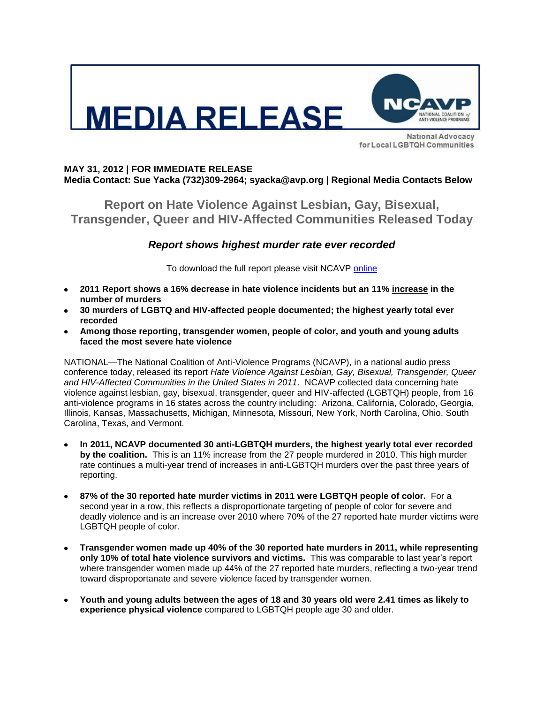

for Local LGBTQH Communities

# **MAY 31, 2012 | FOR IMMEDIATE RELEASE Media Contact: Sue Yacka (732)309-2964; syacka@avp.org | Regional Media Contacts Below**

**Report on Hate Violence Against Lesbian, Gay, Bisexual, Transgender, Queer and HIV-Affected Communities Released Today**

# *Report shows highest murder rate ever recorded*

To download the full report please visit NCAVP [online](http://www.avp.org/ncavp.htm)

- **2011 Report shows a 16% decrease in hate violence incidents but an 11% increase in the number of murders**
- **30 murders of LGBTQ and HIV-affected people documented; the highest yearly total ever recorded**
- **Among those reporting, transgender women, people of color, and youth and young adults faced the most severe hate violence**

NATIONAL—The National Coalition of Anti-Violence Programs (NCAVP), in a national audio press conference today, released its report *Hate Violence Against Lesbian, Gay, Bisexual, Transgender, Queer and HIV-Affected Communities in the United States in 2011*. NCAVP collected data concerning hate violence against lesbian, gay, bisexual, transgender, queer and HIV-affected (LGBTQH) people, from 16 anti-violence programs in 16 states across the country including: Arizona, California, Colorado, Georgia, Illinois, Kansas, Massachusetts, Michigan, Minnesota, Missouri, New York, North Carolina, Ohio, South Carolina, Texas, and Vermont.

- **In 2011, NCAVP documented 30 anti-LGBTQH murders, the highest yearly total ever recorded by the coalition.** This is an 11% increase from the 27 people murdered in 2010. This high murder rate continues a multi-year trend of increases in anti-LGBTQH murders over the past three years of reporting.
- **87% of the 30 reported hate murder victims in 2011 were LGBTQH people of color.** For a second year in a row, this reflects a disproportionate targeting of people of color for severe and deadly violence and is an increase over 2010 where 70% of the 27 reported hate murder victims were LGBTQH people of color.
- **Transgender women made up 40% of the 30 reported hate murders in 2011, while representing only 10% of total hate violence survivors and victims.** This was comparable to last year's report where transgender women made up 44% of the 27 reported hate murders, reflecting a two-year trend toward disproportanate and severe violence faced by transgender women.
- **Youth and young adults between the ages of 18 and 30 years old were 2.41 times as likely to experience physical violence** compared to LGBTQH people age 30 and older.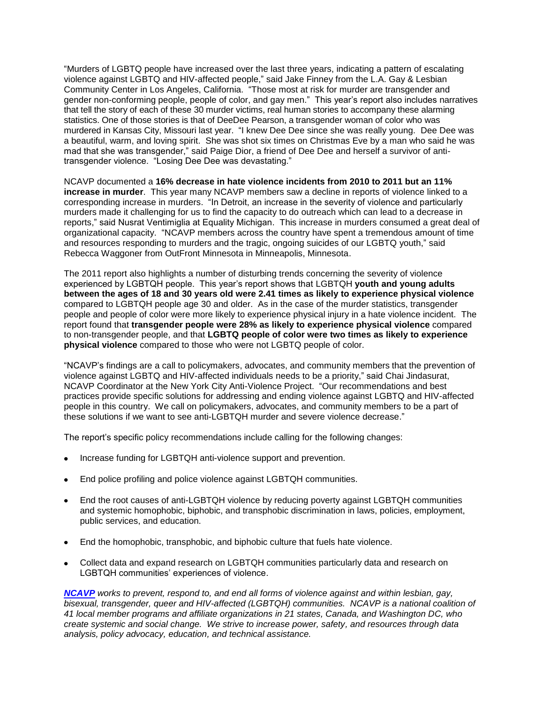"Murders of LGBTQ people have increased over the last three years, indicating a pattern of escalating violence against LGBTQ and HIV-affected people," said Jake Finney from the L.A. Gay & Lesbian Community Center in Los Angeles, California. "Those most at risk for murder are transgender and gender non-conforming people, people of color, and gay men." This year's report also includes narratives that tell the story of each of these 30 murder victims, real human stories to accompany these alarming statistics. One of those stories is that of DeeDee Pearson, a transgender woman of color who was murdered in Kansas City, Missouri last year. "I knew Dee Dee since she was really young. Dee Dee was a beautiful, warm, and loving spirit. She was shot six times on Christmas Eve by a man who said he was mad that she was transgender," said Paige Dior, a friend of Dee Dee and herself a survivor of antitransgender violence. "Losing Dee Dee was devastating."

NCAVP documented a **16% decrease in hate violence incidents from 2010 to 2011 but an 11% increase in murder**. This year many NCAVP members saw a decline in reports of violence linked to a corresponding increase in murders. "In Detroit, an increase in the severity of violence and particularly murders made it challenging for us to find the capacity to do outreach which can lead to a decrease in reports," said Nusrat Ventimiglia at Equality Michigan. This increase in murders consumed a great deal of organizational capacity. "NCAVP members across the country have spent a tremendous amount of time and resources responding to murders and the tragic, ongoing suicides of our LGBTQ youth," said Rebecca Waggoner from OutFront Minnesota in Minneapolis, Minnesota.

The 2011 report also highlights a number of disturbing trends concerning the severity of violence experienced by LGBTQH people. This year's report shows that LGBTQH **youth and young adults between the ages of 18 and 30 years old were 2.41 times as likely to experience physical violence** compared to LGBTQH people age 30 and older. As in the case of the murder statistics, transgender people and people of color were more likely to experience physical injury in a hate violence incident. The report found that **transgender people were 28% as likely to experience physical violence** compared to non-transgender people, and that **LGBTQ people of color were two times as likely to experience physical violence** compared to those who were not LGBTQ people of color.

"NCAVP's findings are a call to policymakers, advocates, and community members that the prevention of violence against LGBTQ and HIV-affected individuals needs to be a priority," said Chai Jindasurat, NCAVP Coordinator at the New York City Anti-Violence Project. "Our recommendations and best practices provide specific solutions for addressing and ending violence against LGBTQ and HIV-affected people in this country. We call on policymakers, advocates, and community members to be a part of these solutions if we want to see anti-LGBTQH murder and severe violence decrease."

The report's specific policy recommendations include calling for the following changes:

- Increase funding for LGBTQH anti-violence support and prevention.
- End police profiling and police violence against LGBTQH communities.
- End the root causes of anti-LGBTQH violence by reducing poverty against LGBTQH communities and systemic homophobic, biphobic, and transphobic discrimination in laws, policies, employment, public services, and education.
- End the homophobic, transphobic, and biphobic culture that fuels hate violence.
- Collect data and expand research on LGBTQH communities particularly data and research on LGBTQH communities' experiences of violence.

*[NCAVP](http://www.avp.org/ncavp.htm) works to prevent, respond to, and end all forms of violence against and within lesbian, gay, bisexual, transgender, queer and HIV-affected (LGBTQH) communities. NCAVP is a national coalition of 41 local member programs and affiliate organizations in 21 states, Canada, and Washington DC, who create systemic and social change. We strive to increase power, safety, and resources through data analysis, policy advocacy, education, and technical assistance.*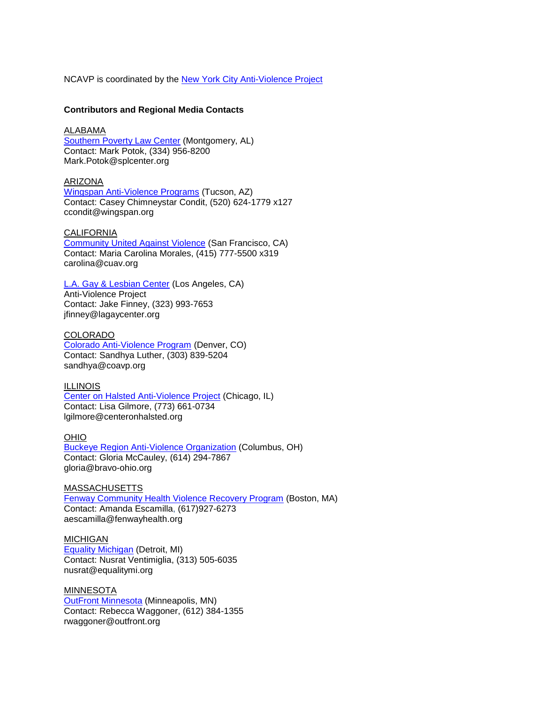NCAVP is coordinated by the [New York City Anti-Violence Project](http://www.avp.org/)

### **Contributors and Regional Media Contacts**

#### ALABAMA

[Southern Poverty Law Center](http://splcenter.org/) (Montgomery, AL) Contact: Mark Potok, (334) 956-8200 Mark.Potok@splcenter.org

### ARIZONA

[Wingspan Anti-Violence Programs](http://www.wingspan.org/) (Tucson, AZ) Contact: Casey Chimneystar Condit, (520) 624-1779 x127 ccondit@wingspan.org

## **CALIFORNIA**

[Community United Against Violence](http://www.cuav.org/) (San Francisco, CA) Contact: Maria Carolina Morales, (415) 777-5500 x319 carolina@cuav.org

# [L.A. Gay & Lesbian Center](http://www.lagaycenter.org/site/PageServer?pagename=Anti_Violence_Project) (Los Angeles, CA)

Anti-Violence Project Contact: Jake Finney, (323) 993-7653 jfinney@lagaycenter.org

#### COLORADO

[Colorado Anti-Violence Program](http://www.coavp.org/) (Denver, CO) Contact: Sandhya Luther, (303) 839-5204 sandhya@coavp.org

### ILLINOIS

Center on Halsted [Anti-Violence Project](http://www.centeronhalsted.org/) (Chicago, IL) Contact: Lisa Gilmore, (773) 661-0734 lgilmore@centeronhalsted.org

# OHIO

[Buckeye Region Anti-Violence Organization](http://www.bravo-ohio.org/) (Columbus, OH) Contact: Gloria McCauley, (614) 294-7867 gloria@bravo-ohio.org

### MASSACHUSETTS [Fenway Community Health Violence Recovery Program](http://www.fenwayhealth.org/site/PageServer?pagename=FCHC_srv_services_violence) (Boston, MA) Contact: Amanda Escamilla, (617)927-6273 aescamilla@fenwayhealth.org

MICHIGAN [Equality Michigan](http://www.equalitymi.org/) (Detroit, MI) Contact: Nusrat Ventimiglia, (313) 505-6035 nusrat@equalitymi.org

MINNESOTA **[OutFront Minnesota](http://www.outfront.org/)** (Minneapolis, MN) Contact: Rebecca Waggoner, (612) 384-1355 rwaggoner@outfront.org